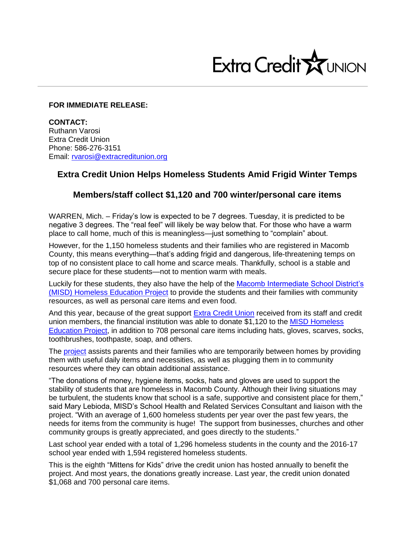

## **FOR IMMEDIATE RELEASE:**

**CONTACT:** Ruthann Varosi Extra Credit Union Phone: 586-276-3151 Email: [rvarosi@extracreditunion.org](mailto:rvarosi@extracreditunion.org)

## **Extra Credit Union Helps Homeless Students Amid Frigid Winter Temps**

## **Members/staff collect \$1,120 and 700 winter/personal care items**

WARREN, Mich. – Friday's low is expected to be 7 degrees. Tuesday, it is predicted to be negative 3 degrees. The "real feel" will likely be way below that. For those who have a warm place to call home, much of this is meaningless—just something to "complain" about.

However, for the 1,150 homeless students and their families who are registered in Macomb County, this means everything—that's adding frigid and dangerous, life-threatening temps on top of no consistent place to call home and scarce meals. Thankfully, school is a stable and secure place for these students—not to mention warm with meals.

Luckily for these students, they also have the help of the [Macomb Intermediate School District's](http://www.misd.net/homeless/overview.html)  [\(MISD\) Homeless Education Project](http://www.misd.net/homeless/overview.html) to provide the students and their families with community resources, as well as personal care items and even food.

And this year, because of the great support [Extra Credit Union](https://www.extracreditunion.org/) received from its staff and credit union members, the financial institution was able to donate \$1,120 to the [MISD Homeless](http://www.misd.net/homeless/index.html)  [Education Project,](http://www.misd.net/homeless/index.html) in addition to 708 personal care items including hats, gloves, scarves, socks, toothbrushes, toothpaste, soap, and others.

The [project](http://www.misd.net/homeless/index.html) assists parents and their families who are temporarily between homes by providing them with useful daily items and necessities, as well as plugging them in to community resources where they can obtain additional assistance.

"The donations of money, hygiene items, socks, hats and gloves are used to support the stability of students that are homeless in Macomb County. Although their living situations may be turbulent, the students know that school is a safe, supportive and consistent place for them," said Mary Lebioda, MISD's School Health and Related Services Consultant and liaison with the project. "With an average of 1,600 homeless students per year over the past few years, the needs for items from the community is huge! The support from businesses, churches and other community groups is greatly appreciated, and goes directly to the students."

Last school year ended with a total of 1,296 homeless students in the county and the 2016-17 school year ended with 1,594 registered homeless students.

This is the eighth "Mittens for Kids" drive the credit union has hosted annually to benefit the project. And most years, the donations greatly increase. Last year, the credit union donated \$1,068 and 700 personal care items.